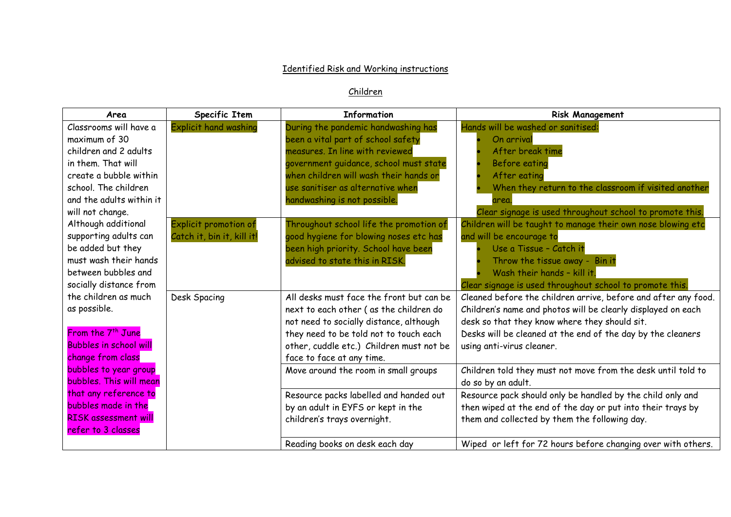## **Identified Risk and Working instructions**

## Children

| Area                          | Specific Item                | <b>Information</b>                       | <b>Risk Management</b>                                         |
|-------------------------------|------------------------------|------------------------------------------|----------------------------------------------------------------|
| Classrooms will have a        | <b>Explicit hand washing</b> | During the pandemic handwashing has      | Hands will be washed or sanitised:                             |
| maximum of 30                 |                              | been a vital part of school safety       | On arrival                                                     |
| children and 2 adults         |                              | measures. In line with reviewed          | After break time                                               |
| in them. That will            |                              | government guidance, school must state   | Before eating                                                  |
| create a bubble within        |                              | when children will wash their hands or   | After eating                                                   |
| school. The children          |                              | use sanitiser as alternative when        | When they return to the classroom if visited another           |
| and the adults within it      |                              | handwashing is not possible.             | area.                                                          |
| will not change.              |                              |                                          | Clear signage is used throughout school to promote this.       |
| Although additional           | <b>Explicit promotion of</b> | Throughout school life the promotion of  | Children will be taught to manage their own nose blowing etc   |
| supporting adults can         | Catch it, bin it, kill it!   | good hygiene for blowing noses etc has   | and will be encourage to                                       |
| be added but they             |                              | been high priority. School have been     | Use a Tissue - Catch it                                        |
| must wash their hands         |                              | advised to state this in RISK.           | Throw the tissue away - Bin it                                 |
| between bubbles and           |                              |                                          | Wash their hands - kill it.                                    |
| socially distance from        |                              |                                          | Clear signage is used throughout school to promote this.       |
| the children as much          | Desk Spacing                 | All desks must face the front but can be | Cleaned before the children arrive, before and after any food. |
| as possible.                  |                              | next to each other (as the children do   | Children's name and photos will be clearly displayed on each   |
|                               |                              | not need to socially distance, although  | desk so that they know where they should sit.                  |
| From the 7 <sup>th</sup> June |                              | they need to be told not to touch each   | Desks will be cleaned at the end of the day by the cleaners    |
| <b>Bubbles in school will</b> |                              | other, cuddle etc.) Children must not be | using anti-virus cleaner.                                      |
| change from class             |                              | face to face at any time.                |                                                                |
| bubbles to year group         |                              | Move around the room in small groups     | Children told they must not move from the desk until told to   |
| bubbles. This will mean       |                              |                                          | do so by an adult.                                             |
| that any reference to         |                              | Resource packs labelled and handed out   | Resource pack should only be handled by the child only and     |
| bubbles made in the           |                              | by an adult in EYFS or kept in the       | then wiped at the end of the day or put into their trays by    |
| <b>RISK assessment will</b>   |                              | children's trays overnight.              | them and collected by them the following day.                  |
| refer to 3 classes            |                              |                                          |                                                                |
|                               |                              | Reading books on desk each day           | Wiped or left for 72 hours before changing over with others.   |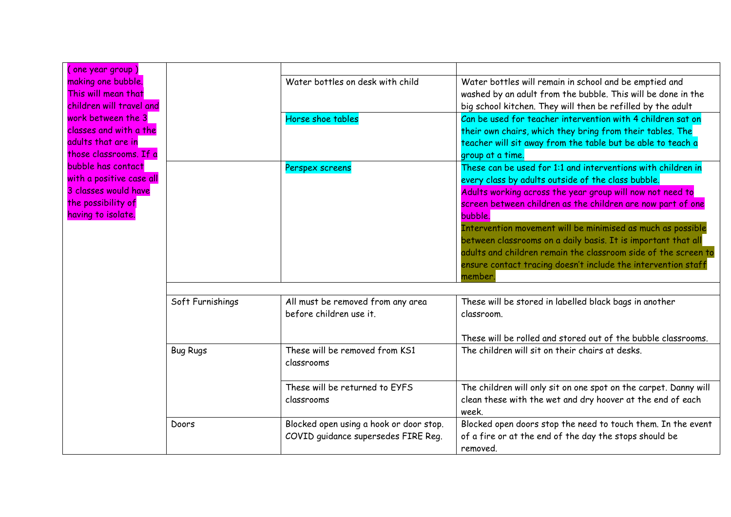| one year group)          |                  |                                         |                                                                     |
|--------------------------|------------------|-----------------------------------------|---------------------------------------------------------------------|
| making one bubble.       |                  | Water bottles on desk with child        | Water bottles will remain in school and be emptied and              |
| This will mean that      |                  |                                         | washed by an adult from the bubble. This will be done in the        |
| children will travel and |                  |                                         | big school kitchen. They will then be refilled by the adult         |
| work between the 3       |                  | Horse shoe tables                       | Can be used for teacher intervention with 4 children sat on         |
| classes and with a the   |                  |                                         | their own chairs, which they bring from their tables. The           |
| adults that are in       |                  |                                         | teacher will sit away from the table but be able to teach a         |
| those classrooms. If a   |                  |                                         | group at a time.                                                    |
| bubble has contact       |                  | Perspex screens                         | These can be used for 1:1 and interventions with children in        |
| with a positive case all |                  |                                         | every class by adults outside of the class bubble.                  |
| 3 classes would have     |                  |                                         | Adults working across the year group will now not need to           |
| the possibility of       |                  |                                         | screen between children as the children are now part of one         |
| having to isolate.       |                  |                                         | bubble.                                                             |
|                          |                  |                                         | Intervention movement will be minimised as much as possible         |
|                          |                  |                                         | between classrooms on a daily basis. It is important that all       |
|                          |                  |                                         | adults and children remain the classroom side of the screen to      |
|                          |                  |                                         | ensure contact tracing doesn't include the intervention staff       |
|                          |                  |                                         | member                                                              |
|                          |                  |                                         |                                                                     |
|                          | Soft Furnishings | All must be removed from any area       | These will be stored in labelled black bags in another              |
|                          |                  | before children use it.                 | classroom.                                                          |
|                          |                  |                                         | These will be rolled and stored out of the bubble classrooms.       |
|                          | <b>Bug Rugs</b>  | These will be removed from KS1          | The children will sit on their chairs at desks.                     |
|                          |                  | classrooms                              |                                                                     |
|                          |                  | These will be returned to EYFS          | The children will only sit on one spot on the carpet. Danny will    |
|                          |                  | classrooms                              | clean these with the wet and dry hoover at the end of each<br>week. |
|                          | Doors            | Blocked open using a hook or door stop. | Blocked open doors stop the need to touch them. In the event        |
|                          |                  | COVID guidance supersedes FIRE Reg.     | of a fire or at the end of the day the stops should be              |
|                          |                  |                                         | removed.                                                            |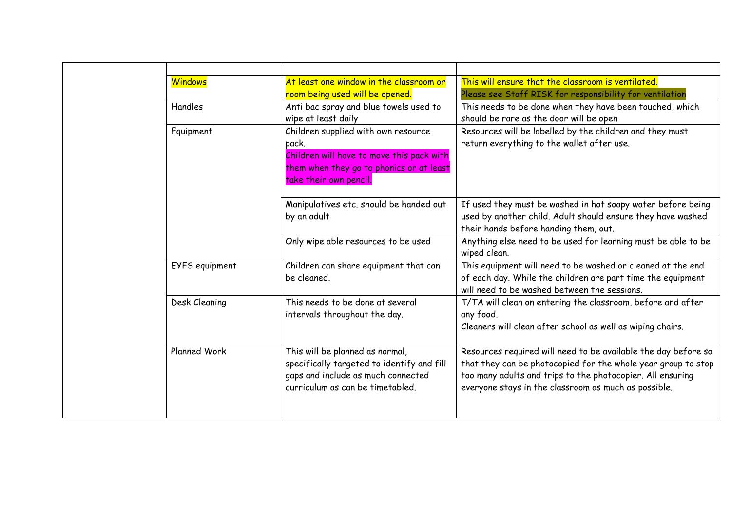|  | <b>Windows</b> | At least one window in the classroom or<br>room being used will be opened.                                                                                      | This will ensure that the classroom is ventilated.<br>Please see Staff RISK for responsibility for ventilation                                                                                                                                        |
|--|----------------|-----------------------------------------------------------------------------------------------------------------------------------------------------------------|-------------------------------------------------------------------------------------------------------------------------------------------------------------------------------------------------------------------------------------------------------|
|  | Handles        | Anti bac spray and blue towels used to<br>wipe at least daily                                                                                                   | This needs to be done when they have been touched, which<br>should be rare as the door will be open                                                                                                                                                   |
|  | Equipment      | Children supplied with own resource<br>pack.<br>Children will have to move this pack with<br>them when they go to phonics or at least<br>take their own pencil. | Resources will be labelled by the children and they must<br>return everything to the wallet after use.                                                                                                                                                |
|  |                | Manipulatives etc. should be handed out<br>by an adult                                                                                                          | If used they must be washed in hot soapy water before being<br>used by another child. Adult should ensure they have washed<br>their hands before handing them, out.                                                                                   |
|  |                | Only wipe able resources to be used                                                                                                                             | Anything else need to be used for learning must be able to be<br>wiped clean.                                                                                                                                                                         |
|  | EYFS equipment | Children can share equipment that can<br>be cleaned.                                                                                                            | This equipment will need to be washed or cleaned at the end<br>of each day. While the children are part time the equipment<br>will need to be washed between the sessions.                                                                            |
|  | Desk Cleaning  | This needs to be done at several<br>intervals throughout the day.                                                                                               | T/TA will clean on entering the classroom, before and after<br>any food.<br>Cleaners will clean after school as well as wiping chairs.                                                                                                                |
|  | Planned Work   | This will be planned as normal,<br>specifically targeted to identify and fill<br>gaps and include as much connected<br>curriculum as can be timetabled.         | Resources required will need to be available the day before so<br>that they can be photocopied for the whole year group to stop<br>too many adults and trips to the photocopier. All ensuring<br>everyone stays in the classroom as much as possible. |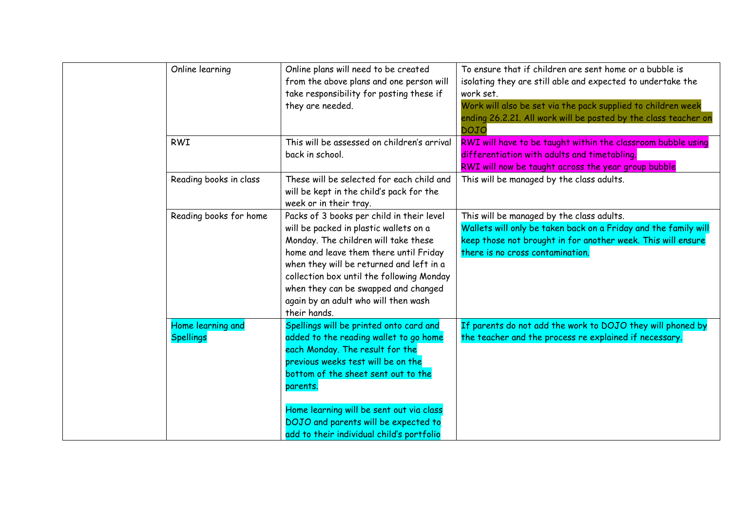|  | Online learning                       | Online plans will need to be created<br>from the above plans and one person will<br>take responsibility for posting these if<br>they are needed.                                                                                                                                                                                                               | To ensure that if children are sent home or a bubble is<br>isolating they are still able and expected to undertake the<br>work set.<br>Work will also be set via the pack supplied to children week<br>ending 26.2.21. All work will be posted by the class teacher on<br><b>DOJO</b> |
|--|---------------------------------------|----------------------------------------------------------------------------------------------------------------------------------------------------------------------------------------------------------------------------------------------------------------------------------------------------------------------------------------------------------------|---------------------------------------------------------------------------------------------------------------------------------------------------------------------------------------------------------------------------------------------------------------------------------------|
|  | <b>RWI</b>                            | This will be assessed on children's arrival<br>back in school.                                                                                                                                                                                                                                                                                                 | RWI will have to be taught within the classroom bubble using<br>differentiation with adults and timetabling.<br>RWI will now be taught across the year group bubble                                                                                                                   |
|  | Reading books in class                | These will be selected for each child and<br>will be kept in the child's pack for the<br>week or in their tray.                                                                                                                                                                                                                                                | This will be managed by the class adults.                                                                                                                                                                                                                                             |
|  | Reading books for home                | Packs of 3 books per child in their level<br>will be packed in plastic wallets on a<br>Monday. The children will take these<br>home and leave them there until Friday<br>when they will be returned and left in a<br>collection box until the following Monday<br>when they can be swapped and changed<br>again by an adult who will then wash<br>their hands. | This will be managed by the class adults.<br>Wallets will only be taken back on a Friday and the family will<br>keep those not brought in for another week. This will ensure<br>there is no cross contamination.                                                                      |
|  | Home learning and<br><b>Spellings</b> | Spellings will be printed onto card and<br>added to the reading wallet to go home<br>each Monday. The result for the<br>previous weeks test will be on the<br>bottom of the sheet sent out to the<br>parents.<br>Home learning will be sent out via class<br>DOJO and parents will be expected to<br>add to their individual child's portfolio                 | If parents do not add the work to DOJO they will phoned by<br>the teacher and the process re explained if necessary.                                                                                                                                                                  |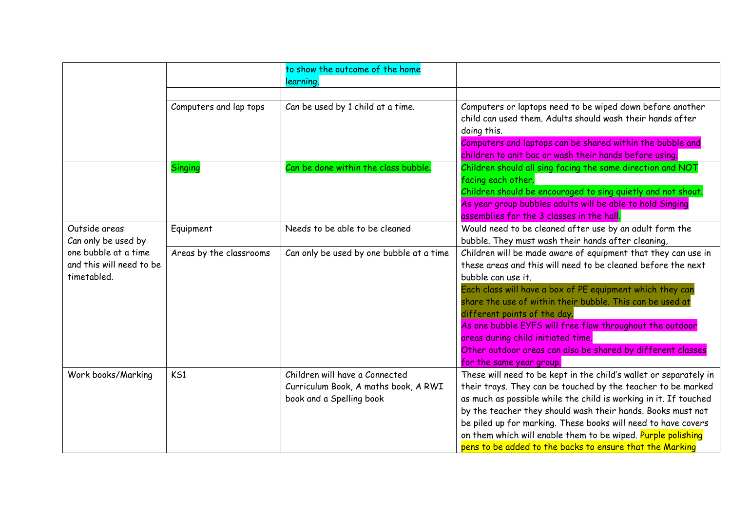|                                                                 |                         | to show the outcome of the home<br>learning.                                                       |                                                                                                                                                                                                                                                                                                                                                                                                                                                                                                            |
|-----------------------------------------------------------------|-------------------------|----------------------------------------------------------------------------------------------------|------------------------------------------------------------------------------------------------------------------------------------------------------------------------------------------------------------------------------------------------------------------------------------------------------------------------------------------------------------------------------------------------------------------------------------------------------------------------------------------------------------|
|                                                                 | Computers and lap tops  | Can be used by 1 child at a time.                                                                  | Computers or laptops need to be wiped down before another<br>child can used them. Adults should wash their hands after<br>doing this.<br>Computers and laptops can be shared within the bubble and<br>children to anit bac or wash their hands before using.                                                                                                                                                                                                                                               |
|                                                                 | <b>Singing</b>          | Can be done within the class bubble.                                                               | Children should all sing facing the same direction and NOT<br>facing each other.<br>Children should be encouraged to sing quietly and not shout.<br>As year group bubbles adults will be able to hold Singing<br>assemblies for the 3 classes in the hall.                                                                                                                                                                                                                                                 |
| Outside areas<br>Can only be used by                            | Equipment               | Needs to be able to be cleaned                                                                     | Would need to be cleaned after use by an adult form the<br>bubble. They must wash their hands after cleaning,                                                                                                                                                                                                                                                                                                                                                                                              |
| one bubble at a time<br>and this will need to be<br>timetabled. | Areas by the classrooms | Can only be used by one bubble at a time                                                           | Children will be made aware of equipment that they can use in<br>these areas and this will need to be cleaned before the next<br>bubble can use it.<br>Each class will have a box of PE equipment which they can<br>share the use of within their bubble. This can be used at<br>different points of the day.<br>As one bubble EYFS will free flow throughout the outdoor<br>areas during child initiated time.<br>Other outdoor areas can also be shared by different classes<br>for the same year group. |
| Work books/Marking                                              | KS1                     | Children will have a Connected<br>Curriculum Book, A maths book, A RWI<br>book and a Spelling book | These will need to be kept in the child's wallet or separately in<br>their trays. They can be touched by the teacher to be marked<br>as much as possible while the child is working in it. If touched<br>by the teacher they should wash their hands. Books must not<br>be piled up for marking. These books will need to have covers<br>on them which will enable them to be wiped. Purple polishing<br>pens to be added to the backs to ensure that the Marking                                          |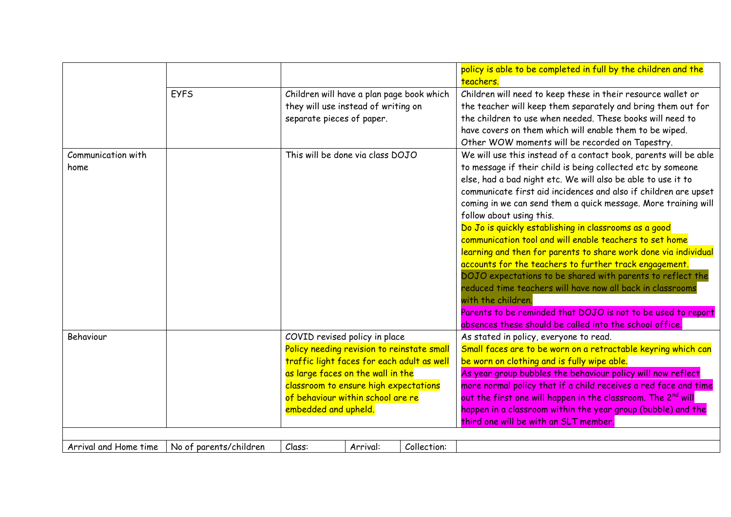|                            |                        |                                                                                                                                                                                                                                                                      |          |             | policy is able to be completed in full by the children and the<br>teachers.                                                                                                                                                                                                                                                                                                                                                                                                                                                                                                                                                                                                                                                                                                                                                                                                                    |
|----------------------------|------------------------|----------------------------------------------------------------------------------------------------------------------------------------------------------------------------------------------------------------------------------------------------------------------|----------|-------------|------------------------------------------------------------------------------------------------------------------------------------------------------------------------------------------------------------------------------------------------------------------------------------------------------------------------------------------------------------------------------------------------------------------------------------------------------------------------------------------------------------------------------------------------------------------------------------------------------------------------------------------------------------------------------------------------------------------------------------------------------------------------------------------------------------------------------------------------------------------------------------------------|
|                            | <b>EYFS</b>            | Children will have a plan page book which<br>they will use instead of writing on<br>separate pieces of paper.                                                                                                                                                        |          |             | Children will need to keep these in their resource wallet or<br>the teacher will keep them separately and bring them out for<br>the children to use when needed. These books will need to<br>have covers on them which will enable them to be wiped.<br>Other WOW moments will be recorded on Tapestry.                                                                                                                                                                                                                                                                                                                                                                                                                                                                                                                                                                                        |
| Communication with<br>home |                        | This will be done via class DOJO                                                                                                                                                                                                                                     |          |             | We will use this instead of a contact book, parents will be able<br>to message if their child is being collected etc by someone<br>else, had a bad night etc. We will also be able to use it to<br>communicate first aid incidences and also if children are upset<br>coming in we can send them a quick message. More training will<br>follow about using this.<br>Do Jo is quickly establishing in classrooms as a good<br>communication tool and will enable teachers to set home<br>learning and then for parents to share work done via individual<br>accounts for the teachers to further track engagement.<br>DOJO expectations to be shared with parents to reflect the<br>reduced time teachers will have now all back in classrooms<br>with the children.<br>Parents to be reminded that DOJO is not to be used to report<br>absences these should be called into the school office. |
| Behaviour                  |                        | COVID revised policy in place<br>Policy needing revision to reinstate small<br>traffic light faces for each adult as well<br>as large faces on the wall in the<br>classroom to ensure high expectations<br>of behaviour within school are re<br>embedded and upheld. |          |             | As stated in policy, everyone to read.<br>Small faces are to be worn on a retractable keyring which can<br>be worn on clothing and is fully wipe able.<br>As year group bubbles the behaviour policy will now reflect<br>more normal policy that if a child receives a red face and time<br>out the first one will happen in the classroom. The 2nd will<br>happen in a classroom within the year group (bubble) and the<br>third one will be with an SLT member.                                                                                                                                                                                                                                                                                                                                                                                                                              |
| Arrival and Home time      | No of parents/children | Class:                                                                                                                                                                                                                                                               | Arrival: | Collection: |                                                                                                                                                                                                                                                                                                                                                                                                                                                                                                                                                                                                                                                                                                                                                                                                                                                                                                |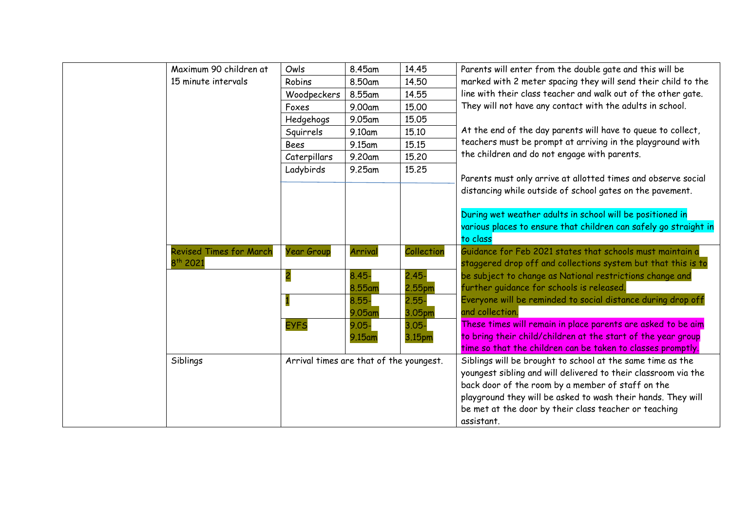| Maximum 90 children at         | Owls                 | 8.45am                    | 14.45      | Parents will enter from the double gate and this will be         |
|--------------------------------|----------------------|---------------------------|------------|------------------------------------------------------------------|
| 15 minute intervals            | Robins               | 8.50am                    | 14.50      | marked with 2 meter spacing they will send their child to the    |
|                                | Woodpeckers          | 8.55am                    | 14.55      | line with their class teacher and walk out of the other gate.    |
|                                | Foxes                | 9.00am                    | 15.00      | They will not have any contact with the adults in school.        |
|                                | Hedgehogs            | 9.05am                    | 15.05      |                                                                  |
|                                | Squirrels            | 9.10am                    | 15.10      | At the end of the day parents will have to queue to collect,     |
|                                | <b>Bees</b>          | 9.15am                    | 15.15      | teachers must be prompt at arriving in the playground with       |
|                                |                      | 9.20am                    | 15.20      | the children and do not engage with parents.                     |
|                                |                      | 9.25am                    | 15.25      |                                                                  |
|                                |                      |                           |            | Parents must only arrive at allotted times and observe social    |
|                                |                      |                           |            | distancing while outside of school gates on the pavement.        |
|                                |                      |                           |            |                                                                  |
|                                |                      |                           |            | During wet weather adults in school will be positioned in        |
|                                |                      |                           |            | various places to ensure that children can safely go straight in |
|                                |                      |                           |            | to class                                                         |
| <b>Revised Times for March</b> | <b>Year Group</b>    | Arrival                   | Collection | Guidance for Feb 2021 states that schools must maintain a        |
|                                |                      |                           |            | staggered drop off and collections system but that this is to    |
|                                |                      | $8.45 -$                  |            | be subject to change as National restrictions change and         |
|                                |                      | 8.55am                    | 2.55pm     | further guidance for schools is released.                        |
|                                |                      | 8.55-                     | $2.55 -$   | Everyone will be reminded to social distance during drop off     |
|                                |                      | 9.05am                    | 3.05pm     | and collection.                                                  |
|                                | <b>EYFS</b>          | $9.05 -$                  | $3.05 -$   | These times will remain in place parents are asked to be aim     |
|                                |                      | 9.15am                    | 3.15pm     | to bring their child/children at the start of the year group     |
|                                |                      |                           |            | time so that the children can be taken to classes promptly.      |
| Siblings                       |                      |                           |            | Siblings will be brought to school at the same time as the       |
|                                |                      |                           |            | youngest sibling and will delivered to their classroom via the   |
|                                |                      |                           |            | back door of the room by a member of staff on the                |
|                                |                      |                           |            | playground they will be asked to wash their hands. They will     |
|                                |                      |                           |            | be met at the door by their class teacher or teaching            |
|                                |                      |                           |            | assistant.                                                       |
|                                | 8 <sup>th</sup> 2021 | Caterpillars<br>Ladybirds |            | $2.45 -$<br>Arrival times are that of the youngest.              |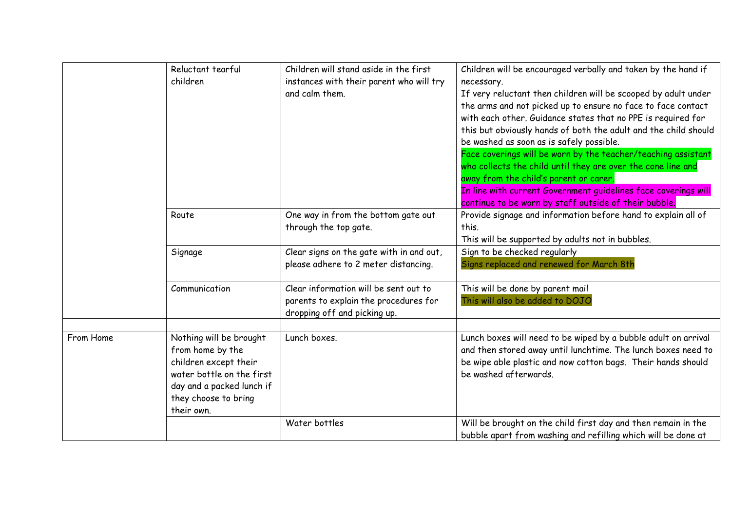|           | Reluctant tearful<br>children                                                                                                                                        | Children will stand aside in the first<br>instances with their parent who will try<br>and calm them.           | Children will be encouraged verbally and taken by the hand if<br>necessary.<br>If very reluctant then children will be scooped by adult under<br>the arms and not picked up to ensure no face to face contact<br>with each other. Guidance states that no PPE is required for<br>this but obviously hands of both the adult and the child should<br>be washed as soon as is safely possible.<br>Face coverings will be worn by the teacher/teaching assistant |
|-----------|----------------------------------------------------------------------------------------------------------------------------------------------------------------------|----------------------------------------------------------------------------------------------------------------|---------------------------------------------------------------------------------------------------------------------------------------------------------------------------------------------------------------------------------------------------------------------------------------------------------------------------------------------------------------------------------------------------------------------------------------------------------------|
|           |                                                                                                                                                                      |                                                                                                                | who collects the child until they are over the cone line and<br>away from the child's parent or carer.<br>In line with current Government quidelines face coverings will<br>continue to be worn by staff outside of their bubble.                                                                                                                                                                                                                             |
|           | Route                                                                                                                                                                | One way in from the bottom gate out<br>through the top gate.                                                   | Provide signage and information before hand to explain all of<br>this.<br>This will be supported by adults not in bubbles.                                                                                                                                                                                                                                                                                                                                    |
|           | Signage                                                                                                                                                              | Clear signs on the gate with in and out,<br>please adhere to 2 meter distancing.                               | Sign to be checked regularly<br>Signs replaced and renewed for March 8th                                                                                                                                                                                                                                                                                                                                                                                      |
|           | Communication                                                                                                                                                        | Clear information will be sent out to<br>parents to explain the procedures for<br>dropping off and picking up. | This will be done by parent mail<br>This will also be added to DOJO                                                                                                                                                                                                                                                                                                                                                                                           |
| From Home | Nothing will be brought<br>from home by the<br>children except their<br>water bottle on the first<br>day and a packed lunch if<br>they choose to bring<br>their own. | Lunch boxes.                                                                                                   | Lunch boxes will need to be wiped by a bubble adult on arrival<br>and then stored away until lunchtime. The lunch boxes need to<br>be wipe able plastic and now cotton bags. Their hands should<br>be washed afterwards.                                                                                                                                                                                                                                      |
|           |                                                                                                                                                                      | Water bottles                                                                                                  | Will be brought on the child first day and then remain in the<br>bubble apart from washing and refilling which will be done at                                                                                                                                                                                                                                                                                                                                |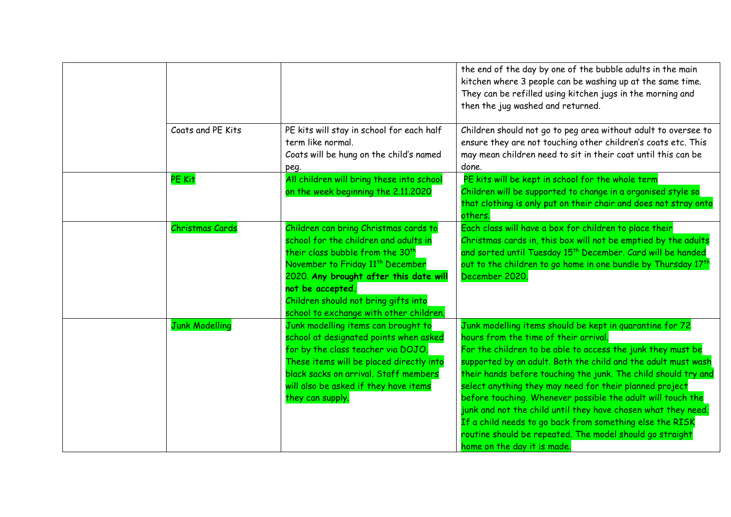|                       |                                                                                                                                                                                                                                                                                                                                 | the end of the day by one of the bubble adults in the main<br>kitchen where 3 people can be washing up at the same time.<br>They can be refilled using kitchen jugs in the morning and<br>then the jug washed and returned.                                                                                                                                                                                                                                                                                                                                                                                                                           |
|-----------------------|---------------------------------------------------------------------------------------------------------------------------------------------------------------------------------------------------------------------------------------------------------------------------------------------------------------------------------|-------------------------------------------------------------------------------------------------------------------------------------------------------------------------------------------------------------------------------------------------------------------------------------------------------------------------------------------------------------------------------------------------------------------------------------------------------------------------------------------------------------------------------------------------------------------------------------------------------------------------------------------------------|
| Coats and PE Kits     | PE kits will stay in school for each half<br>term like normal.<br>Coats will be hung on the child's named<br>peg.                                                                                                                                                                                                               | Children should not go to peg area without adult to oversee to<br>ensure they are not touching other children's coats etc. This<br>may mean children need to sit in their coat until this can be<br>done.                                                                                                                                                                                                                                                                                                                                                                                                                                             |
| PE Kit                | All children will bring these into school<br>on the week beginning the 2.11.2020                                                                                                                                                                                                                                                | PE kits will be kept in school for the whole term<br>Children will be supported to change in a organised style so<br>that clothing is only put on their chair and does not stray onto<br>others.                                                                                                                                                                                                                                                                                                                                                                                                                                                      |
| Christmas Cards       | Children can bring Christmas cards to<br>school for the children and adults in<br>their class bubble from the 30 <sup>th</sup><br>November to Friday 11 <sup>th</sup> December<br>2020. Any brought after this date will<br>not be accepted.<br>Children should not bring gifts into<br>school to exchange with other children. | Each class will have a box for children to place their<br>Christmas cards in, this box will not be emptied by the adults<br>and sorted until Tuesday 15 <sup>th</sup> December. Card will be handed<br>out to the children to go home in one bundle by Thursday 17 <sup>th</sup><br>December 2020.                                                                                                                                                                                                                                                                                                                                                    |
| <b>Junk Modelling</b> | Junk modelling items can brought to<br>school at designated points when asked<br>for by the class teacher via DOJO.<br>These items will be placed directly into<br>black sacks on arrival. Staff members<br>will also be asked if they have items<br>they can supply.                                                           | Junk modelling items should be kept in quarantine for 72<br>hours from the time of their arrival.<br>For the children to be able to access the junk they must be<br>supported by an adult. Both the child and the adult must wash<br>their hands before touching the junk. The child should try and<br>select anything they may need for their planned project<br>before touching. Whenever possible the adult will touch the<br>junk and not the child until they have chosen what they need.<br>If a child needs to go back from something else the RISK<br>routine should be repeated. The model should go straight<br>home on the day it is made. |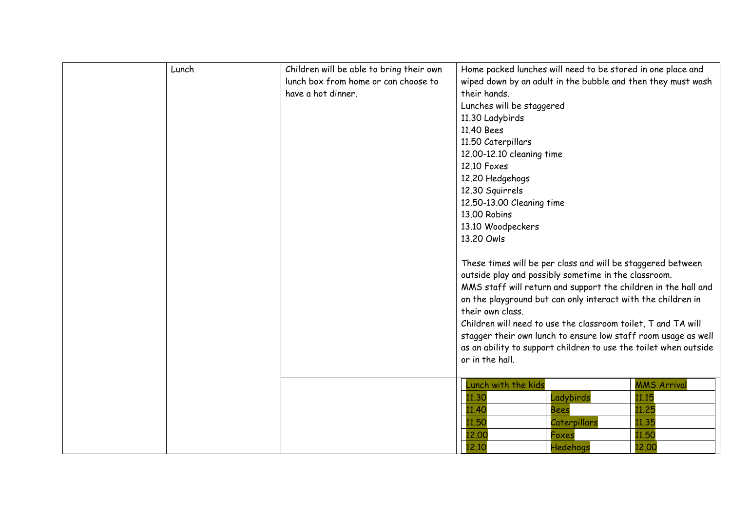| Lunch | Children will be able to bring their own<br>lunch box from home or can choose to<br>have a hot dinner. | Home packed lunches will need to be stored in one place and<br>wiped down by an adult in the bubble and then they must wash<br>their hands.<br>Lunches will be staggered<br>11.30 Ladybirds<br>11.40 Bees<br>11.50 Caterpillars<br>12.00-12.10 cleaning time<br>12.10 Foxes<br>12.20 Hedgehogs<br>12.30 Squirrels<br>12.50-13.00 Cleaning time<br>13.00 Robins<br>13.10 Woodpeckers<br>13.20 Owls<br>These times will be per class and will be staggered between<br>outside play and possibly sometime in the classroom.<br>MMS staff will return and support the children in the hall and<br>on the playground but can only interact with the children in<br>their own class.<br>Children will need to use the classroom toilet, T and TA will<br>stagger their own lunch to ensure low staff room usage as well<br>as an ability to support children to use the toilet when outside |
|-------|--------------------------------------------------------------------------------------------------------|---------------------------------------------------------------------------------------------------------------------------------------------------------------------------------------------------------------------------------------------------------------------------------------------------------------------------------------------------------------------------------------------------------------------------------------------------------------------------------------------------------------------------------------------------------------------------------------------------------------------------------------------------------------------------------------------------------------------------------------------------------------------------------------------------------------------------------------------------------------------------------------|
|       |                                                                                                        | or in the hall.<br>Lunch with the kids<br><b>MMS Arrival</b><br>11.30<br>11.15<br>Ladybirds<br>11.40<br>11.25<br><b>Bees</b><br>11.50<br>Caterpillars<br>11.35<br>11.50<br>12.00<br>Foxes                                                                                                                                                                                                                                                                                                                                                                                                                                                                                                                                                                                                                                                                                             |
|       |                                                                                                        | 12.10<br>12.00<br>Hedehogs                                                                                                                                                                                                                                                                                                                                                                                                                                                                                                                                                                                                                                                                                                                                                                                                                                                            |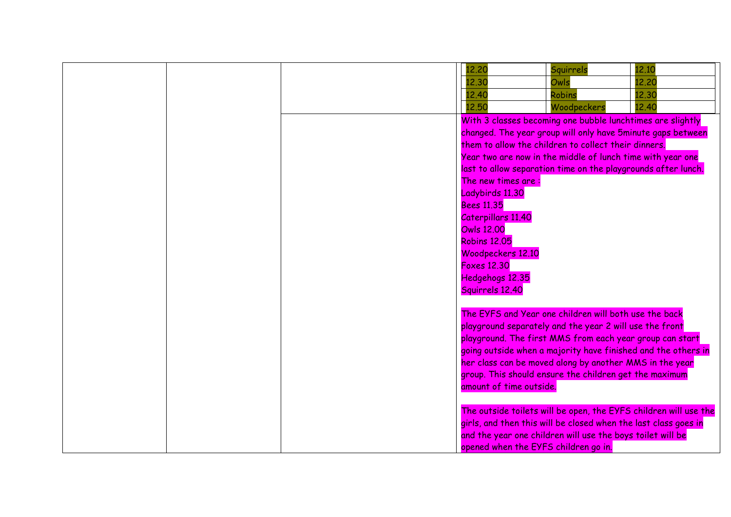|  |  | 12,20                                | Squirrels                                                       | 12.10                                                            |
|--|--|--------------------------------------|-----------------------------------------------------------------|------------------------------------------------------------------|
|  |  | 12.30                                | Owls                                                            | 12,20                                                            |
|  |  | 12.40                                | <b>Robins</b>                                                   | 12.30                                                            |
|  |  | 12,50                                | Woodpeckers                                                     | 12,40                                                            |
|  |  |                                      | With 3 classes becoming one bubble lunchtimes are slightly      |                                                                  |
|  |  |                                      | changed. The year group will only have 5minute gaps between     |                                                                  |
|  |  |                                      | them to allow the children to collect their dinners.            |                                                                  |
|  |  |                                      | Year two are now in the middle of lunch time with year one      |                                                                  |
|  |  |                                      | last to allow separation time on the playgrounds after lunch.   |                                                                  |
|  |  | The new times are:                   |                                                                 |                                                                  |
|  |  | Ladybirds 11.30                      |                                                                 |                                                                  |
|  |  | <b>Bees 11.35</b>                    |                                                                 |                                                                  |
|  |  | Caterpillars 11.40                   |                                                                 |                                                                  |
|  |  | <b>Owls 12.00</b>                    |                                                                 |                                                                  |
|  |  | <b>Robins 12.05</b>                  |                                                                 |                                                                  |
|  |  | Woodpeckers 12.10                    |                                                                 |                                                                  |
|  |  | <b>Foxes 12.30</b>                   |                                                                 |                                                                  |
|  |  | Hedgehogs 12.35                      |                                                                 |                                                                  |
|  |  | Squirrels 12.40                      |                                                                 |                                                                  |
|  |  |                                      |                                                                 |                                                                  |
|  |  |                                      | The EYFS and Year one children will both use the back           |                                                                  |
|  |  |                                      | playground separately and the year 2 will use the front         |                                                                  |
|  |  |                                      | playground. The first MMS from each year group can start        |                                                                  |
|  |  |                                      | going outside when a majority have finished and the others in   |                                                                  |
|  |  |                                      | her class can be moved along by another MMS in the year         |                                                                  |
|  |  |                                      | group. This should ensure the children get the maximum          |                                                                  |
|  |  | amount of time outside.              |                                                                 |                                                                  |
|  |  |                                      |                                                                 |                                                                  |
|  |  |                                      |                                                                 | The outside toilets will be open, the EYFS children will use the |
|  |  |                                      | girls, and then this will be closed when the last class goes in |                                                                  |
|  |  |                                      | and the year one children will use the boys toilet will be      |                                                                  |
|  |  | opened when the EYFS children go in. |                                                                 |                                                                  |
|  |  |                                      |                                                                 |                                                                  |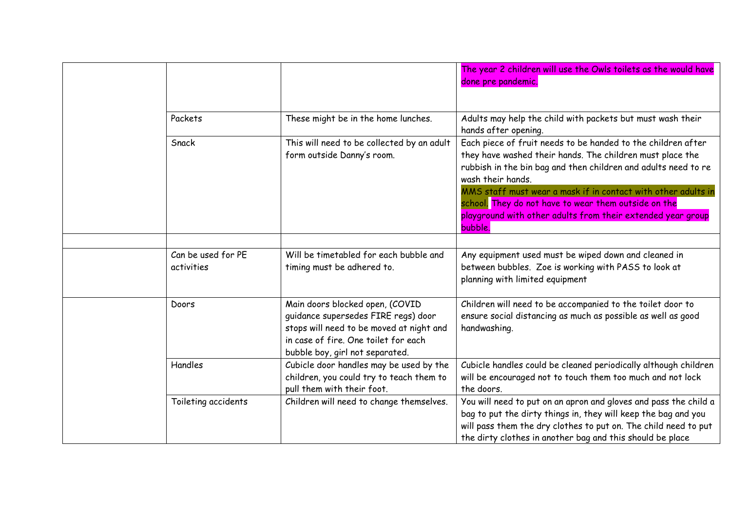|                                  |                                                                                                                                                                                               | The year 2 children will use the Owls toilets as the would have<br>done pre pandemic.                                                                                                                                                                                                                                                                                                                               |
|----------------------------------|-----------------------------------------------------------------------------------------------------------------------------------------------------------------------------------------------|---------------------------------------------------------------------------------------------------------------------------------------------------------------------------------------------------------------------------------------------------------------------------------------------------------------------------------------------------------------------------------------------------------------------|
| Packets                          | These might be in the home lunches.                                                                                                                                                           | Adults may help the child with packets but must wash their<br>hands after opening.                                                                                                                                                                                                                                                                                                                                  |
| Snack                            | This will need to be collected by an adult<br>form outside Danny's room.                                                                                                                      | Each piece of fruit needs to be handed to the children after<br>they have washed their hands. The children must place the<br>rubbish in the bin bag and then children and adults need to re<br>wash their hands.<br>MMS staff must wear a mask if in contact with other adults in<br>school. They do not have to wear them outside on the<br>playground with other adults from their extended year group<br>bubble. |
|                                  |                                                                                                                                                                                               |                                                                                                                                                                                                                                                                                                                                                                                                                     |
| Can be used for PE<br>activities | Will be timetabled for each bubble and<br>timing must be adhered to.                                                                                                                          | Any equipment used must be wiped down and cleaned in<br>between bubbles. Zoe is working with PASS to look at<br>planning with limited equipment                                                                                                                                                                                                                                                                     |
| Doors                            | Main doors blocked open, (COVID<br>guidance supersedes FIRE regs) door<br>stops will need to be moved at night and<br>in case of fire. One toilet for each<br>bubble boy, girl not separated. | Children will need to be accompanied to the toilet door to<br>ensure social distancing as much as possible as well as good<br>handwashing.                                                                                                                                                                                                                                                                          |
| Handles                          | Cubicle door handles may be used by the<br>children, you could try to teach them to<br>pull them with their foot.                                                                             | Cubicle handles could be cleaned periodically although children<br>will be encouraged not to touch them too much and not lock<br>the doors.                                                                                                                                                                                                                                                                         |
| Toileting accidents              | Children will need to change themselves.                                                                                                                                                      | You will need to put on an apron and gloves and pass the child a<br>bag to put the dirty things in, they will keep the bag and you<br>will pass them the dry clothes to put on. The child need to put<br>the dirty clothes in another bag and this should be place                                                                                                                                                  |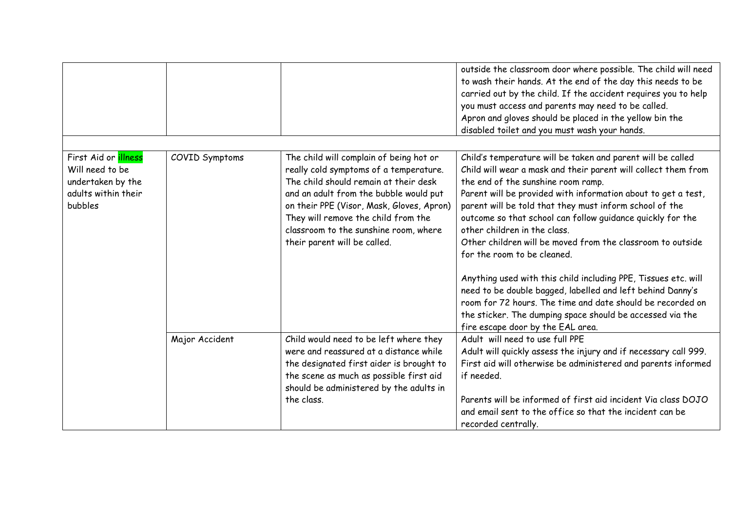|                                                                                                       |                |                                                                                                                                                                                                                                                                                                                                   | outside the classroom door where possible. The child will need<br>to wash their hands. At the end of the day this needs to be<br>carried out by the child. If the accident requires you to help<br>you must access and parents may need to be called.<br>Apron and gloves should be placed in the yellow bin the<br>disabled toilet and you must wash your hands.                                                                                                                                                                                                                                                                                                                                                                                                                          |
|-------------------------------------------------------------------------------------------------------|----------------|-----------------------------------------------------------------------------------------------------------------------------------------------------------------------------------------------------------------------------------------------------------------------------------------------------------------------------------|--------------------------------------------------------------------------------------------------------------------------------------------------------------------------------------------------------------------------------------------------------------------------------------------------------------------------------------------------------------------------------------------------------------------------------------------------------------------------------------------------------------------------------------------------------------------------------------------------------------------------------------------------------------------------------------------------------------------------------------------------------------------------------------------|
| First Aid or <i>illness</i><br>Will need to be<br>undertaken by the<br>adults within their<br>bubbles | COVID Symptoms | The child will complain of being hot or<br>really cold symptoms of a temperature.<br>The child should remain at their desk<br>and an adult from the bubble would put<br>on their PPE (Visor, Mask, Gloves, Apron)<br>They will remove the child from the<br>classroom to the sunshine room, where<br>their parent will be called. | Child's temperature will be taken and parent will be called<br>Child will wear a mask and their parent will collect them from<br>the end of the sunshine room ramp.<br>Parent will be provided with information about to get a test,<br>parent will be told that they must inform school of the<br>outcome so that school can follow guidance quickly for the<br>other children in the class.<br>Other children will be moved from the classroom to outside<br>for the room to be cleaned.<br>Anything used with this child including PPE, Tissues etc. will<br>need to be double bagged, labelled and left behind Danny's<br>room for 72 hours. The time and date should be recorded on<br>the sticker. The dumping space should be accessed via the<br>fire escape door by the EAL area. |
|                                                                                                       | Major Accident | Child would need to be left where they<br>were and reassured at a distance while<br>the designated first aider is brought to<br>the scene as much as possible first aid<br>should be administered by the adults in<br>the class.                                                                                                  | Adult will need to use full PPE<br>Adult will quickly assess the injury and if necessary call 999.<br>First aid will otherwise be administered and parents informed<br>if needed.<br>Parents will be informed of first aid incident Via class DOJO<br>and email sent to the office so that the incident can be<br>recorded centrally.                                                                                                                                                                                                                                                                                                                                                                                                                                                      |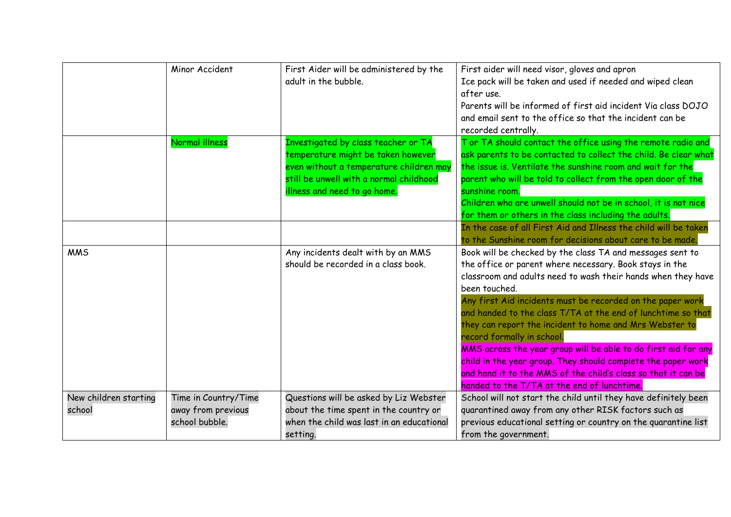|                                 | Minor Accident                                               | First Aider will be administered by the<br>adult in the bubble.                                                                                                                                 | First aider will need visor, gloves and apron<br>Ice pack will be taken and used if needed and wiped clean<br>after use.<br>Parents will be informed of first aid incident Via class DOJO<br>and email sent to the office so that the incident can be<br>recorded centrally.                                                                                                                                                                                                                                                                                                                                                                                                   |
|---------------------------------|--------------------------------------------------------------|-------------------------------------------------------------------------------------------------------------------------------------------------------------------------------------------------|--------------------------------------------------------------------------------------------------------------------------------------------------------------------------------------------------------------------------------------------------------------------------------------------------------------------------------------------------------------------------------------------------------------------------------------------------------------------------------------------------------------------------------------------------------------------------------------------------------------------------------------------------------------------------------|
|                                 | Normal illness                                               | Investigated by class teacher or TA<br>temperature might be taken however<br>even without a temperature children may<br>still be unwell with a normal childhood<br>illness and need to go home. | Tor TA should contact the office using the remote radio and<br>ask parents to be contacted to collect the child. Be clear what<br>the issue is. Ventilate the sunshine room and wait for the<br>parent who will be told to collect from the open door of the<br>sunshine room.<br>Children who are unwell should not be in school, it is not nice<br>for them or others in the class including the adults.                                                                                                                                                                                                                                                                     |
|                                 |                                                              |                                                                                                                                                                                                 | In the case of all First Aid and Illness the child will be taken<br>to the Sunshine room for decisions about care to be made.                                                                                                                                                                                                                                                                                                                                                                                                                                                                                                                                                  |
| <b>MMS</b>                      |                                                              | Any incidents dealt with by an MMS<br>should be recorded in a class book.                                                                                                                       | Book will be checked by the class TA and messages sent to<br>the office or parent where necessary. Book stays in the<br>classroom and adults need to wash their hands when they have<br>been touched.<br>Any first Aid incidents must be recorded on the paper work<br>and handed to the class T/TA at the end of lunchtime so that<br>they can report the incident to home and Mrs Webster to<br>record formally in school.<br>MMS across the year group will be able to do first aid for any<br>child in the year group. They should complete the paper work<br>and hand it to the MMS of the child's class so that it can be<br>handed to the T/TA at the end of lunchtime. |
| New children starting<br>school | Time in Country/Time<br>away from previous<br>school bubble. | Questions will be asked by Liz Webster<br>about the time spent in the country or<br>when the child was last in an educational<br>setting.                                                       | School will not start the child until they have definitely been<br>quarantined away from any other RISK factors such as<br>previous educational setting or country on the quarantine list<br>from the government.                                                                                                                                                                                                                                                                                                                                                                                                                                                              |